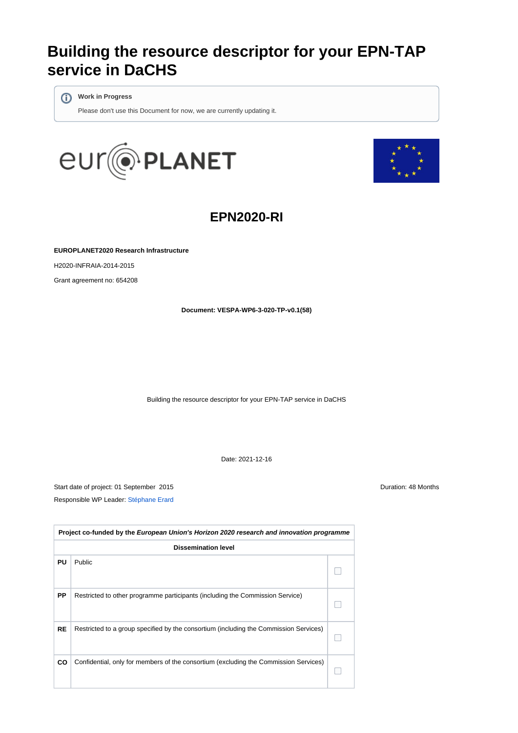# **Building the resource descriptor for your EPN-TAP service in DaCHS**

**Work in Progress**

Please don't use this Document for now, we are currently updating it.





## **EPN2020-RI**

**EUROPLANET2020 Research Infrastructure**

H2020-INFRAIA-2014-2015

Grant agreement no: 654208

**Document: VESPA-WP6-3-020-TP-v0.1(58)**

Building the resource descriptor for your EPN-TAP service in DaCHS

Date: 2021-12-16

Start date of project: 01 September 2015 Duration: 48 Months Responsible WP Leader: [Stéphane Erard](https://voparis-wiki.obspm.fr/display/~stephane.erard)

| Project co-funded by the European Union's Horizon 2020 research and innovation programme |                                                                                       |  |  |  |
|------------------------------------------------------------------------------------------|---------------------------------------------------------------------------------------|--|--|--|
|                                                                                          | <b>Dissemination level</b>                                                            |  |  |  |
| PU                                                                                       | Public                                                                                |  |  |  |
| PP                                                                                       | Restricted to other programme participants (including the Commission Service)         |  |  |  |
| <b>RE</b>                                                                                | Restricted to a group specified by the consortium (including the Commission Services) |  |  |  |
| CO                                                                                       | Confidential, only for members of the consortium (excluding the Commission Services)  |  |  |  |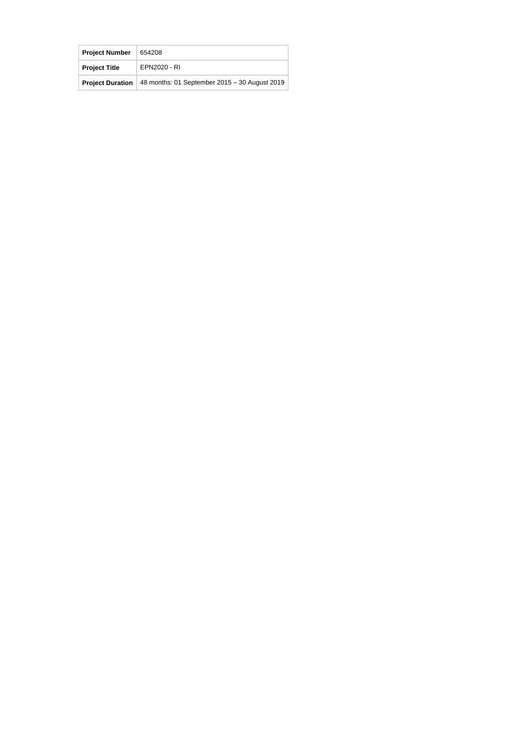| <b>Project Number</b>   | 654208                                        |
|-------------------------|-----------------------------------------------|
| <b>Project Title</b>    | EPN2020 - RI                                  |
| <b>Project Duration</b> | 48 months: 01 September 2015 - 30 August 2019 |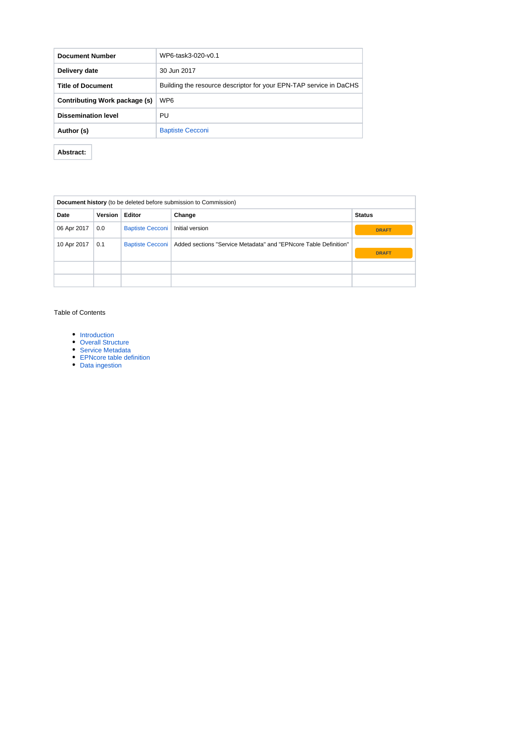| <b>Document Number</b>        | WP6-task3-020-y0.1                                                 |
|-------------------------------|--------------------------------------------------------------------|
| Delivery date                 | 30 Jun 2017                                                        |
| <b>Title of Document</b>      | Building the resource descriptor for your EPN-TAP service in DaCHS |
| Contributing Work package (s) | WP <sub>6</sub>                                                    |
| <b>Dissemination level</b>    | PU                                                                 |
| Author (s)                    | <b>Baptiste Cecconi</b>                                            |

**Abstract:** 

| Document history (to be deleted before submission to Commission) |                |                         |                                                                                     |               |
|------------------------------------------------------------------|----------------|-------------------------|-------------------------------------------------------------------------------------|---------------|
| Date                                                             | <b>Version</b> | Editor                  | Change                                                                              | <b>Status</b> |
| 06 Apr 2017                                                      | 0.0            | <b>Baptiste Cecconi</b> | Initial version                                                                     | <b>DRAFT</b>  |
| 10 Apr 2017                                                      | 0.1            |                         | Baptiste Cecconi   Added sections "Service Metadata" and "EPNcore Table Definition" | <b>DRAFT</b>  |
|                                                                  |                |                         |                                                                                     |               |
|                                                                  |                |                         |                                                                                     |               |

#### Table of Contents

- [Introduction](#page-3-0)
- [Overall Structure](#page-3-1)
- [Service Metadata](#page-3-2)
- [EPNcore table definition](#page-7-0)
- [Data ingestion](#page-8-0)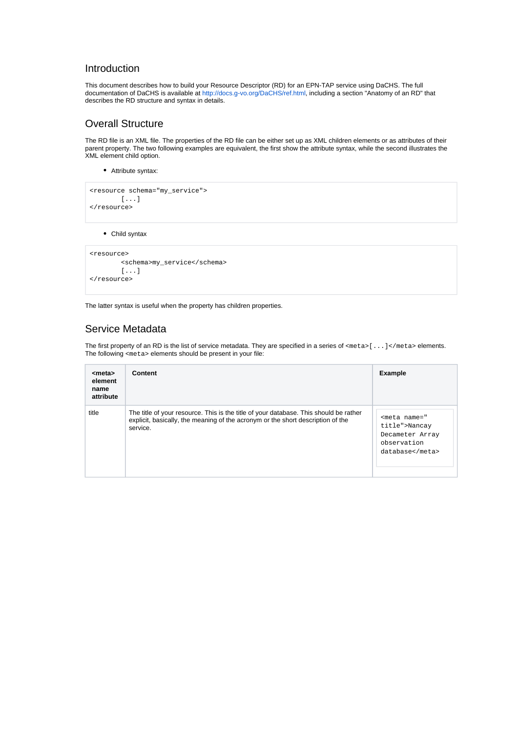#### <span id="page-3-0"></span>Introduction

This document describes how to build your Resource Descriptor (RD) for an EPN-TAP service using DaCHS. The full documentation of DaCHS is available at <http://docs.g-vo.org/DaCHS/ref.html>, including a section "Anatomy of an RD" that describes the RD structure and syntax in details.

### <span id="page-3-1"></span>Overall Structure

The RD file is an XML file. The properties of the RD file can be either set up as XML children elements or as attributes of their parent property. The two following examples are equivalent, the first show the attribute syntax, while the second illustrates the XML element child option.

Attribute syntax:

```
<resource schema="my_service">
        [...]
</resource>
```
Child syntax

```
<resource>
         <schema>my_service</schema>
         [...]
</resource>
```
The latter syntax is useful when the property has children properties.

#### <span id="page-3-2"></span>Service Metadata

The first property of an RD is the list of service metadata. They are specified in a series of <meta>[...]</meta> elements. The following <meta> elements should be present in your file:

| <meta/><br>element<br>name<br>attribute | Content                                                                                                                                                                              | <b>Example</b>                                                                      |
|-----------------------------------------|--------------------------------------------------------------------------------------------------------------------------------------------------------------------------------------|-------------------------------------------------------------------------------------|
| title                                   | The title of your resource. This is the title of your database. This should be rather<br>explicit, basically, the meaning of the acronym or the short description of the<br>service. | <meta name="&lt;br&gt;title"/> Nancay<br>Decameter Array<br>observation<br>database |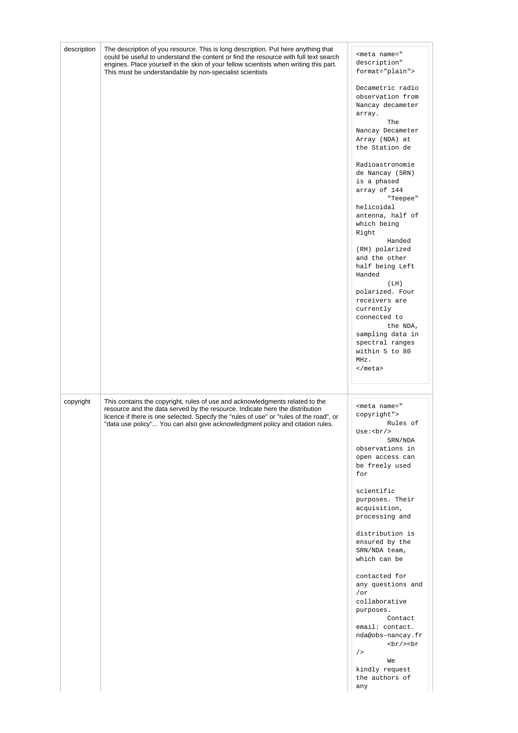| description | The description of you resource. This is long description. Put here anything that<br>could be useful to understand the content or find the resource with full text search<br>engines. Place yourself in the skin of your fellow scientists when writing this part.<br>This must be understandable by non-specialist scientists           | <meta <br="" name="&lt;br&gt;description"/> format="plain">                                                                             |
|-------------|------------------------------------------------------------------------------------------------------------------------------------------------------------------------------------------------------------------------------------------------------------------------------------------------------------------------------------------|-----------------------------------------------------------------------------------------------------------------------------------------|
|             |                                                                                                                                                                                                                                                                                                                                          | Decametric radio<br>observation from<br>Nancay decameter<br>array.<br>The                                                               |
|             |                                                                                                                                                                                                                                                                                                                                          | Nancay Decameter<br>Array (NDA) at<br>the Station de                                                                                    |
|             |                                                                                                                                                                                                                                                                                                                                          | Radioastronomie<br>de Nancay (SRN)<br>is a phased<br>array of 144<br>"Teepee"<br>helicoidal<br>antenna, half of<br>which being<br>Right |
|             |                                                                                                                                                                                                                                                                                                                                          | Handed<br>(RH) polarized<br>and the other<br>half being Left<br>Handed                                                                  |
|             |                                                                                                                                                                                                                                                                                                                                          | (LH)<br>polarized. Four<br>receivers are<br>currently<br>connected to<br>the NDA,<br>sampling data in                                   |
|             |                                                                                                                                                                                                                                                                                                                                          | spectral ranges<br>within 5 to 80<br>MHz.<br>$<$ /meta>                                                                                 |
|             |                                                                                                                                                                                                                                                                                                                                          |                                                                                                                                         |
| copyright   | This contains the copyright, rules of use and acknowledgments related to the<br>resource and the data served by the resource. Indicate here the distribution<br>licence if there is one selected. Specify the "rules of use" or "rules of the road", or<br>"data use policy" You can also give acknowledgment policy and citation rules. | <meta name="&lt;br&gt;copyright"/><br>Rules of<br>SRN/NDA<br>observations in<br>open access can<br>be freely used<br>for                |
|             |                                                                                                                                                                                                                                                                                                                                          | scientific<br>purposes. Their<br>acquisition,<br>processing and                                                                         |
|             |                                                                                                                                                                                                                                                                                                                                          | distribution is<br>ensured by the<br>SRN/NDA team,<br>which can be                                                                      |
|             |                                                                                                                                                                                                                                                                                                                                          | contacted for<br>any questions and<br>$\sqrt{or}$<br>collaborative<br>purposes.                                                         |
|             |                                                                                                                                                                                                                                                                                                                                          | Contact<br>email: contact.<br>nda@obs-nancay.fr<br>br/>br<br>/                                                                          |
|             |                                                                                                                                                                                                                                                                                                                                          | We<br>kindly request<br>the authors of<br>any                                                                                           |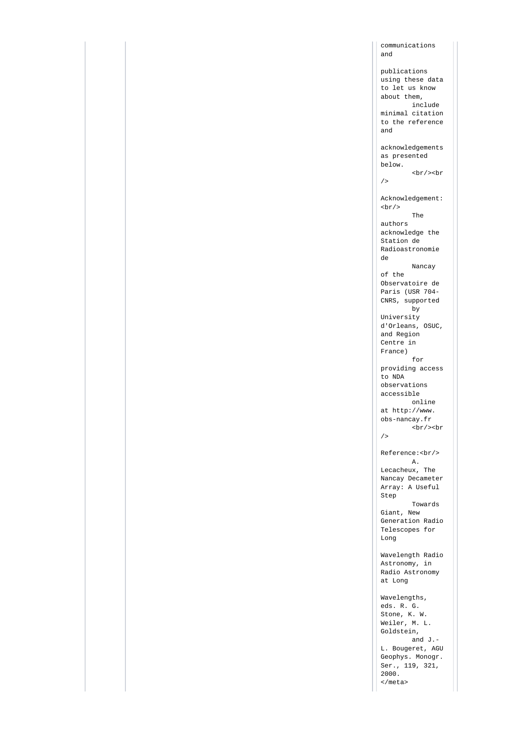communications and publications using these data to let us know about them, include minimal citation to the reference and acknowledgements as presented below.  $br/$  >  $br$  $/$ Acknowledgement:  $br/$  The authors acknowledge the Station de Radioastronomie de Nancay of the Observatoire de Paris (USR 704- CNRS, supported by University d'Orleans, OSUC, and Region Centre in France) for providing access to NDA observations accessible online at http://www. obs-nancay.fr <br/><br  $/$ Reference:<br/> A. Lecacheux, The Nancay Decameter Array: A Useful Step Towards Giant, New Generation Radio Telescopes for Long Wavelength Radio Astronomy, in Radio Astronomy at Long Wavelengths, eds. R. G. Stone, K. W. Weiler, M. L. Goldstein, and J.- L. Bougeret, AGU Geophys. Monogr. Ser., 119, 321, 2000.

</meta>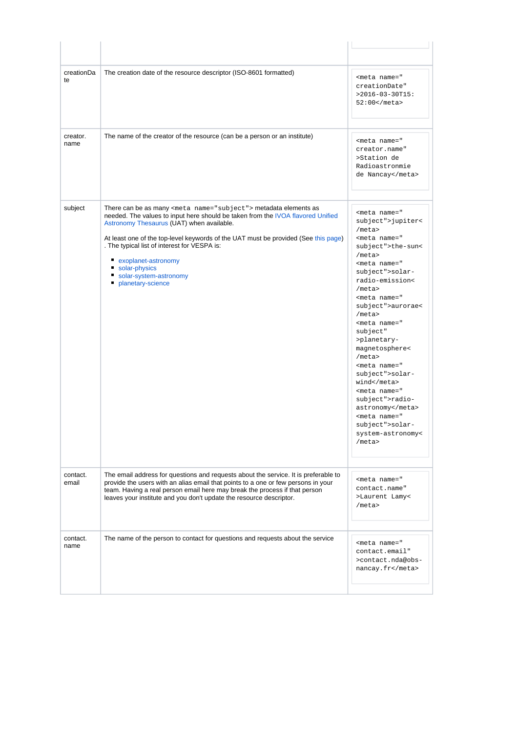| creationDa<br>te  | The creation date of the resource descriptor (ISO-8601 formatted)                                                                                                                                                                                                                                                             | <meta <br="" name="&lt;br&gt;creationDate"/> $>2016-03-30T15$ :<br>$52:00$                                                                                                                                                                                                                                                                                                            |
|-------------------|-------------------------------------------------------------------------------------------------------------------------------------------------------------------------------------------------------------------------------------------------------------------------------------------------------------------------------|---------------------------------------------------------------------------------------------------------------------------------------------------------------------------------------------------------------------------------------------------------------------------------------------------------------------------------------------------------------------------------------|
| creator.<br>name  | The name of the creator of the resource (can be a person or an institute)                                                                                                                                                                                                                                                     | <meta <br="" name="&lt;br&gt;creator.name"/> >Station de<br>Radioastronmie<br>de Nancay                                                                                                                                                                                                                                                                                               |
| subject           | There can be as many <meta name="subject"/> metadata elements as<br>needed. The values to input here should be taken from the IVOA flavored Unified                                                                                                                                                                           | <meta name="&lt;br&gt;subject"/> jupiter<                                                                                                                                                                                                                                                                                                                                             |
|                   | Astronomy Thesaurus (UAT) when available.<br>At least one of the top-level keywords of the UAT must be provided (See this page)<br>. The typical list of interest for VESPA is:<br>exoplanet-astronomy<br>solar-physics<br>solar-system-astronomy<br>ш<br>п<br>planetary-science                                              | /meta<br><meta name="&lt;br&gt;subject"/> the-sun<<br>/meta<br><meta name="&lt;br&gt;subject"/> solar-<br>radio-emission<<br>/meta<br><meta name="&lt;br&gt;subject"/> aurorae<<br>/meta<br><meta <br="" name="&lt;br&gt;subject"/> >planetary-<br>magnetosphere<<br>/meta<br><meta name="&lt;br&gt;subject"/> solar-<br>wind<br><meta name="&lt;br&gt;subject"/> radio-<br>astronomy |
| contact.<br>email | The email address for questions and requests about the service. It is preferable to<br>provide the users with an alias email that points to a one or few persons in your<br>team. Having a real person email here may break the process if that person<br>leaves your institute and you don't update the resource descriptor. | <meta name="&lt;br&gt;subject"/> solar-<br>system-astronomy<<br>/meta<br><meta <br="" name="&lt;br&gt;contact.name"/> >Laurent Lamy<<br>/meta                                                                                                                                                                                                                                         |
| contact.<br>name  | The name of the person to contact for questions and requests about the service                                                                                                                                                                                                                                                | <meta <="" name="&lt;br&gt;contact.email" td=""/>                                                                                                                                                                                                                                                                                                                                     |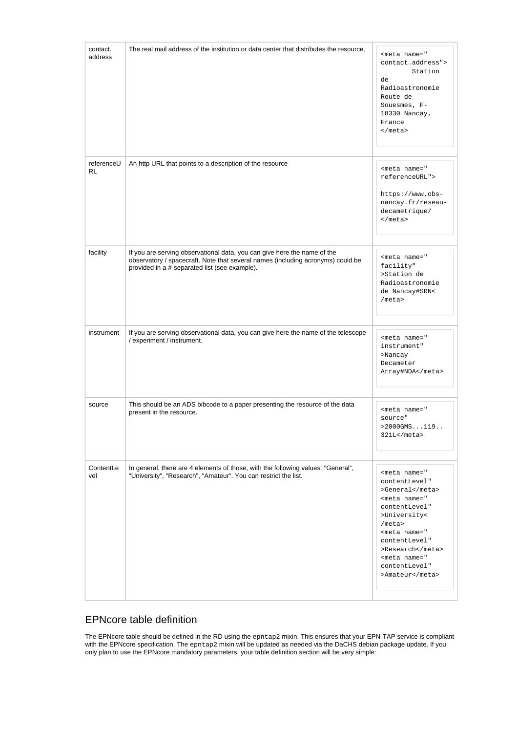| contact.<br>address     | The real mail address of the institution or data center that distributes the resource.                                                                                                                       | <meta name="&lt;br&gt;contact.address"/><br>Station<br>de<br>Radioastronomie<br>Route de<br>Souesmes, F-<br>18330 Nancay,<br>France<br>$<$ /meta>                                                                                              |
|-------------------------|--------------------------------------------------------------------------------------------------------------------------------------------------------------------------------------------------------------|------------------------------------------------------------------------------------------------------------------------------------------------------------------------------------------------------------------------------------------------|
| referenceU<br><b>RL</b> | An http URL that points to a description of the resource                                                                                                                                                     | <meta name="&lt;br&gt;referenceURL"/><br>https://www.obs-<br>nancay.fr/reseau-<br>decametrique/<br>$<$ /meta>                                                                                                                                  |
| facility                | If you are serving observational data, you can give here the name of the<br>observatory / spacecraft. Note that several names (including acronyms) could be<br>provided in a #-separated list (see example). | <meta <br="" name="&lt;br&gt;facility"/> >Station de<br>Radioastronomie<br>de Nancay#SRN<<br>/meta>                                                                                                                                            |
| instrument              | If you are serving observational data, you can give here the name of the telescope<br>/ experiment / instrument.                                                                                             | <meta <br="" name="&lt;br&gt;instrument"/> >Nancay<br>Decameter<br>Array#NDA                                                                                                                                                                   |
| source                  | This should be an ADS bibcode to a paper presenting the resource of the data<br>present in the resource.                                                                                                     | <meta <br="" name="&lt;br&gt;source"/> $>2000$ GMS119<br>$321L$                                                                                                                                                                                |
| ContentLe<br>vel        | In general, there are 4 elements of those, with the following values: "General",<br>"University", "Research", "Amateur". You can restrict the list.                                                          | <meta <br="" name="&lt;br&gt;contentLevel"/> >General<br><meta <br="" name="&lt;br&gt;contentLevel"/> >University<<br>/meta<br><meta <br="" name="&lt;br&gt;contentLevel"/> >Research<br><meta <br="" name="&lt;br&gt;contentLevel"/> >Amateur |

#### <span id="page-7-0"></span>EPNcore table definition

The EPNcore table should be defined in the RD using the epntap2 mixin. This ensures that your EPN-TAP service is compliant with the EPNcore specification. The epntap2 mixin will be updated as needed via the DaCHS debian package update. If you only plan to use the EPNcore mandatory parameters, your table definition section will be very simple: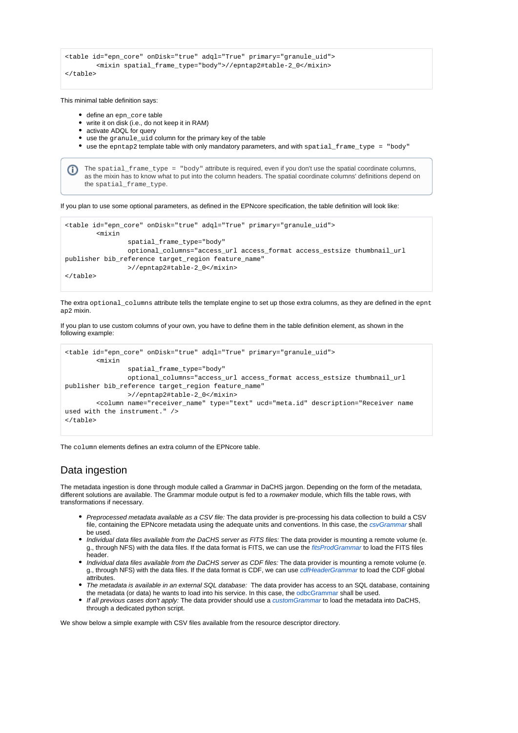```
<table id="epn_core" onDisk="true" adql="True" primary="granule_uid">
         <mixin spatial_frame_type="body">//epntap2#table-2_0</mixin>
</table>
```
This minimal table definition says:

- define an epp. core table
- write it on disk (i.e., do not keep it in RAM)
- activate ADQL for query
- use the granule\_uid column for the primary key of the table
- use the epntap2 template table with only mandatory parameters, and with spatial\_frame\_type = "body"

The spatial\_frame\_type = "body" attribute is required, even if you don't use the spatial coordinate columns, as the mixin has to know what to put into the column headers. The spatial coordinate columns' definitions depend on the spatial frame type.

If you plan to use some optional parameters, as defined in the EPNcore specification, the table definition will look like:

```
<table id="epn_core" onDisk="true" adql="True" primary="granule_uid">
         <mixin 
                 spatial_frame_type="body"
                 optional_columns="access_url access_format access_estsize thumbnail_url 
publisher bib_reference target_region feature_name"
                 >//epntap2#table-2_0</mixin>
</table>
```
The extra optional\_columns attribute tells the template engine to set up those extra columns, as they are defined in the epnt ap2 mixin.

If you plan to use custom columns of your own, you have to define them in the table definition element, as shown in the following example:

```
<table id="epn_core" onDisk="true" adql="True" primary="granule_uid">
         <mixin 
                 spatial_frame_type="body"
                 optional_columns="access_url access_format access_estsize thumbnail_url 
publisher bib_reference target_region feature_name"
                 >//epntap2#table-2_0</mixin>
         <column name="receiver_name" type="text" ucd="meta.id" description="Receiver name 
used with the instrument." />
</table>
```
The column elements defines an extra column of the EPNcore table.

#### <span id="page-8-0"></span>Data ingestion

The metadata ingestion is done through module called a Grammar in DaCHS jargon. Depending on the form of the metadata, different solutions are available. The Grammar module output is fed to a rowmaker module, which fills the table rows, with transformations if necessary.

- Preprocessed metadata available as a CSV file: The data provider is pre-processing his data collection to build a CSV file, containing the EPNcore metadata using the adequate units and conventions. In this case, the [csvGrammar](https://dachs-doc.readthedocs.io/ref.html#element-csvgrammar) shall be used.
- Individual data files available from the DaCHS server as FITS files: The data provider is mounting a remote volume (e. g., through NFS) with the data files. If the data format is FITS, we can use the [fitsProdGrammar](https://dachs-doc.readthedocs.io/ref.html#element-fitsprodgrammar) to load the FITS files header.
- Individual data files available from the DaCHS server as CDF files: The data provider is mounting a remote volume (e. g., through NFS) with the data files. If the data format is CDF, we can use *[cdfHeaderGrammar](https://dachs-doc.readthedocs.io/ref.html#element-cdfheadergrammar)* to load the CDF global attributes.
- The metadata is available in an external SQL database: The data provider has access to an SQL database, containing the metadata (or data) he wants to load into his service. In this case, the [odbcGrammar](https://dachs-doc.readthedocs.io/ref.html#element-odbcgrammar) shall be used.
- If all previous cases don't apply: The data provider should use a [customGrammar](https://dachs-doc.readthedocs.io/ref.html#element-customgrammar) to load the metadata into DaCHS, through a dedicated python script.

We show below a simple example with CSV files available from the resource descriptor directory.